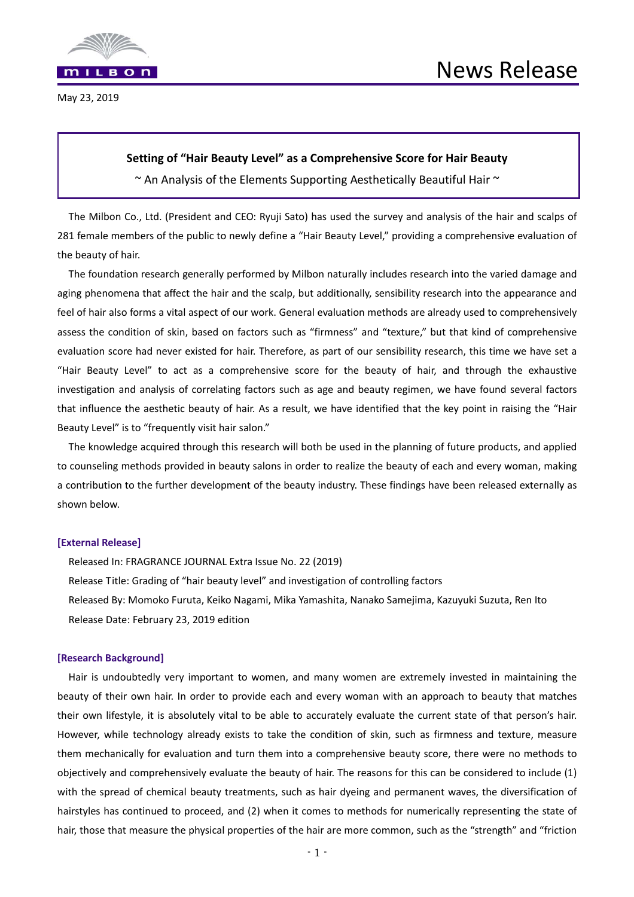

May 23, 2019

# **Setting of "Hair Beauty Level" as a Comprehensive Score for Hair Beauty**

 $\sim$  An Analysis of the Elements Supporting Aesthetically Beautiful Hair  $\sim$ 

The Milbon Co., Ltd. (President and CEO: Ryuji Sato) has used the survey and analysis of the hair and scalps of 281 female members of the public to newly define a "Hair Beauty Level," providing a comprehensive evaluation of the beauty of hair.

The foundation research generally performed by Milbon naturally includes research into the varied damage and aging phenomena that affect the hair and the scalp, but additionally, sensibility research into the appearance and feel of hair also forms a vital aspect of our work. General evaluation methods are already used to comprehensively assess the condition of skin, based on factors such as "firmness" and "texture," but that kind of comprehensive evaluation score had never existed for hair. Therefore, as part of our sensibility research, this time we have set a "Hair Beauty Level" to act as a comprehensive score for the beauty of hair, and through the exhaustive investigation and analysis of correlating factors such as age and beauty regimen, we have found several factors that influence the aesthetic beauty of hair. As a result, we have identified that the key point in raising the "Hair Beauty Level" is to "frequently visit hair salon."

The knowledge acquired through this research will both be used in the planning of future products, and applied to counseling methods provided in beauty salons in order to realize the beauty of each and every woman, making a contribution to the further development of the beauty industry. These findings have been released externally as shown below.

## **[External Release]**

Released In: FRAGRANCE JOURNAL Extra Issue No. 22 (2019) Release Title: Grading of "hair beauty level" and investigation of controlling factors Released By: Momoko Furuta, Keiko Nagami, Mika Yamashita, Nanako Samejima, Kazuyuki Suzuta, Ren Ito Release Date: February 23, 2019 edition

## **[Research Background]**

Hair is undoubtedly very important to women, and many women are extremely invested in maintaining the beauty of their own hair. In order to provide each and every woman with an approach to beauty that matches their own lifestyle, it is absolutely vital to be able to accurately evaluate the current state of that person's hair. However, while technology already exists to take the condition of skin, such as firmness and texture, measure them mechanically for evaluation and turn them into a comprehensive beauty score, there were no methods to objectively and comprehensively evaluate the beauty of hair. The reasons for this can be considered to include (1) with the spread of chemical beauty treatments, such as hair dyeing and permanent waves, the diversification of hairstyles has continued to proceed, and (2) when it comes to methods for numerically representing the state of hair, those that measure the physical properties of the hair are more common, such as the "strength" and "friction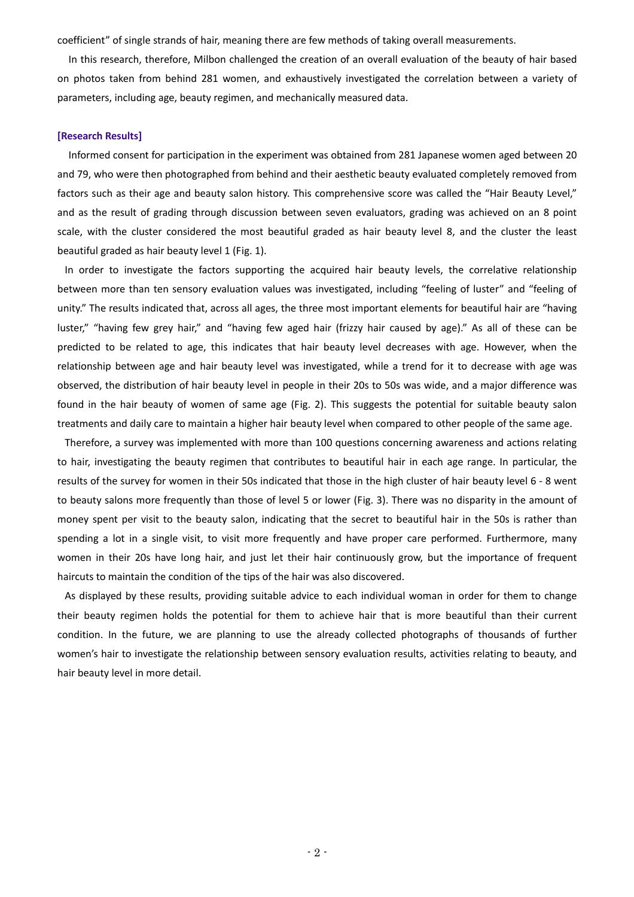coefficient" of single strands of hair, meaning there are few methods of taking overall measurements.

In this research, therefore, Milbon challenged the creation of an overall evaluation of the beauty of hair based on photos taken from behind 281 women, and exhaustively investigated the correlation between a variety of parameters, including age, beauty regimen, and mechanically measured data.

## **[Research Results]**

Informed consent for participation in the experiment was obtained from 281 Japanese women aged between 20 and 79, who were then photographed from behind and their aesthetic beauty evaluated completely removed from factors such as their age and beauty salon history. This comprehensive score was called the "Hair Beauty Level," and as the result of grading through discussion between seven evaluators, grading was achieved on an 8 point scale, with the cluster considered the most beautiful graded as hair beauty level 8, and the cluster the least beautiful graded as hair beauty level 1 (Fig. 1).

In order to investigate the factors supporting the acquired hair beauty levels, the correlative relationship between more than ten sensory evaluation values was investigated, including "feeling of luster" and "feeling of unity." The results indicated that, across all ages, the three most important elements for beautiful hair are "having luster," "having few grey hair," and "having few aged hair (frizzy hair caused by age)." As all of these can be predicted to be related to age, this indicates that hair beauty level decreases with age. However, when the relationship between age and hair beauty level was investigated, while a trend for it to decrease with age was observed, the distribution of hair beauty level in people in their 20s to 50s was wide, and a major difference was found in the hair beauty of women of same age (Fig. 2). This suggests the potential for suitable beauty salon treatments and daily care to maintain a higher hair beauty level when compared to other people of the same age.

Therefore, a survey was implemented with more than 100 questions concerning awareness and actions relating to hair, investigating the beauty regimen that contributes to beautiful hair in each age range. In particular, the results of the survey for women in their 50s indicated that those in the high cluster of hair beauty level 6 ‐ 8 went to beauty salons more frequently than those of level 5 or lower (Fig. 3). There was no disparity in the amount of money spent per visit to the beauty salon, indicating that the secret to beautiful hair in the 50s is rather than spending a lot in a single visit, to visit more frequently and have proper care performed. Furthermore, many women in their 20s have long hair, and just let their hair continuously grow, but the importance of frequent haircuts to maintain the condition of the tips of the hair was also discovered.

As displayed by these results, providing suitable advice to each individual woman in order for them to change their beauty regimen holds the potential for them to achieve hair that is more beautiful than their current condition. In the future, we are planning to use the already collected photographs of thousands of further women's hair to investigate the relationship between sensory evaluation results, activities relating to beauty, and hair beauty level in more detail.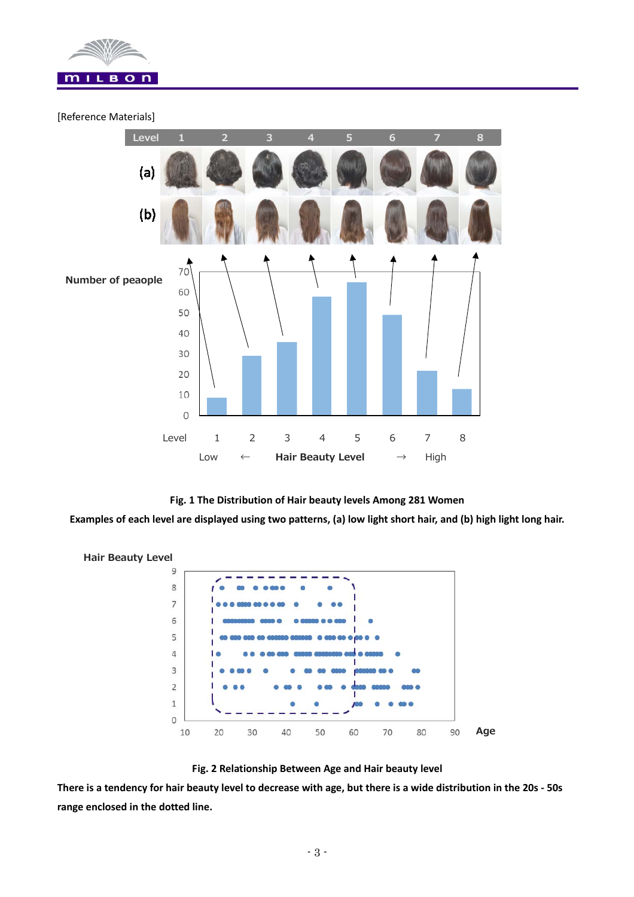

# [Reference Materials]



# **Fig. 1 The Distribution of Hair beauty levels Among 281 Women**

**Examples of each level are displayed using two patterns, (a) low light short hair, and (b) high light long hair.** 





**There is a tendency for hair beauty level to decrease with age, but there is a wide distribution in the 20s ‐ 50s range enclosed in the dotted line.**